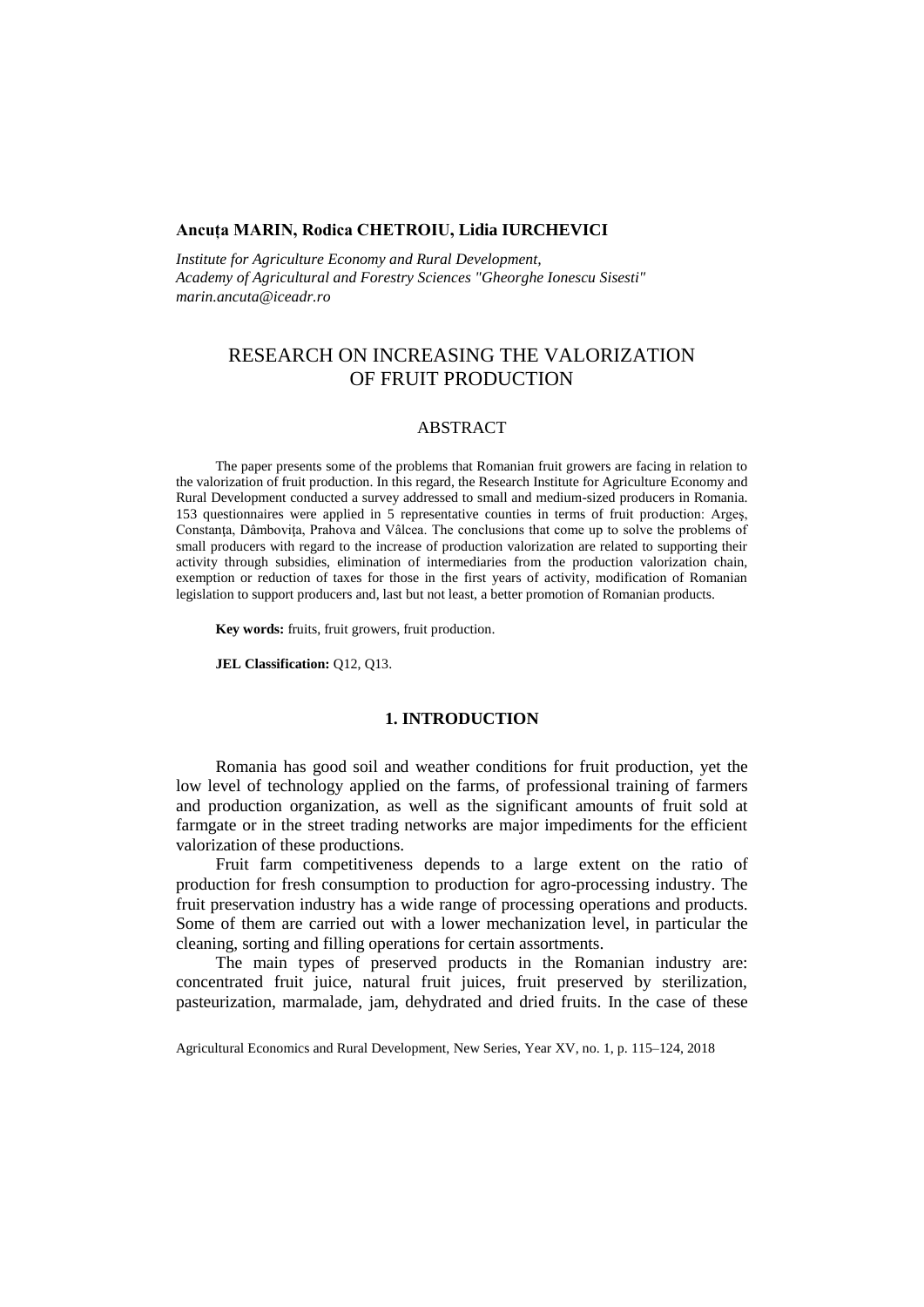## **Ancuța MARIN, Rodica CHETROIU, Lidia IURCHEVICI**

*Institute for Agriculture Economy and Rural Development, Academy of Agricultural and Forestry Sciences "Gheorghe Ionescu Sisesti" [marin.ancuta@iceadr.ro](mailto:marin.ancuta@iceadr.ro)*

# RESEARCH ON INCREASING THE VALORIZATION OF FRUIT PRODUCTION

### ABSTRACT

The paper presents some of the problems that Romanian fruit growers are facing in relation to the valorization of fruit production. In this regard, the Research Institute for Agriculture Economy and Rural Development conducted a survey addressed to small and medium-sized producers in Romania. 153 questionnaires were applied in 5 representative counties in terms of fruit production: Argeş, Constanţa, Dâmboviţa, Prahova and Vâlcea. The conclusions that come up to solve the problems of small producers with regard to the increase of production valorization are related to supporting their activity through subsidies, elimination of intermediaries from the production valorization chain, exemption or reduction of taxes for those in the first years of activity, modification of Romanian legislation to support producers and, last but not least, a better promotion of Romanian products.

**Key words:** fruits, fruit growers, fruit production.

**JEL Classification:** Q12, Q13.

#### **1. INTRODUCTION**

Romania has good soil and weather conditions for fruit production, yet the low level of technology applied on the farms, of professional training of farmers and production organization, as well as the significant amounts of fruit sold at farmgate or in the street trading networks are major impediments for the efficient valorization of these productions.

Fruit farm competitiveness depends to a large extent on the ratio of production for fresh consumption to production for agro-processing industry. The fruit preservation industry has a wide range of processing operations and products. Some of them are carried out with a lower mechanization level, in particular the cleaning, sorting and filling operations for certain assortments.

The main types of preserved products in the Romanian industry are: concentrated fruit juice, natural fruit juices, fruit preserved by sterilization, pasteurization, marmalade, jam, dehydrated and dried fruits. In the case of these

Agricultural Economics and Rural Development, New Series, Year XV, no. 1, p. 115–124, 2018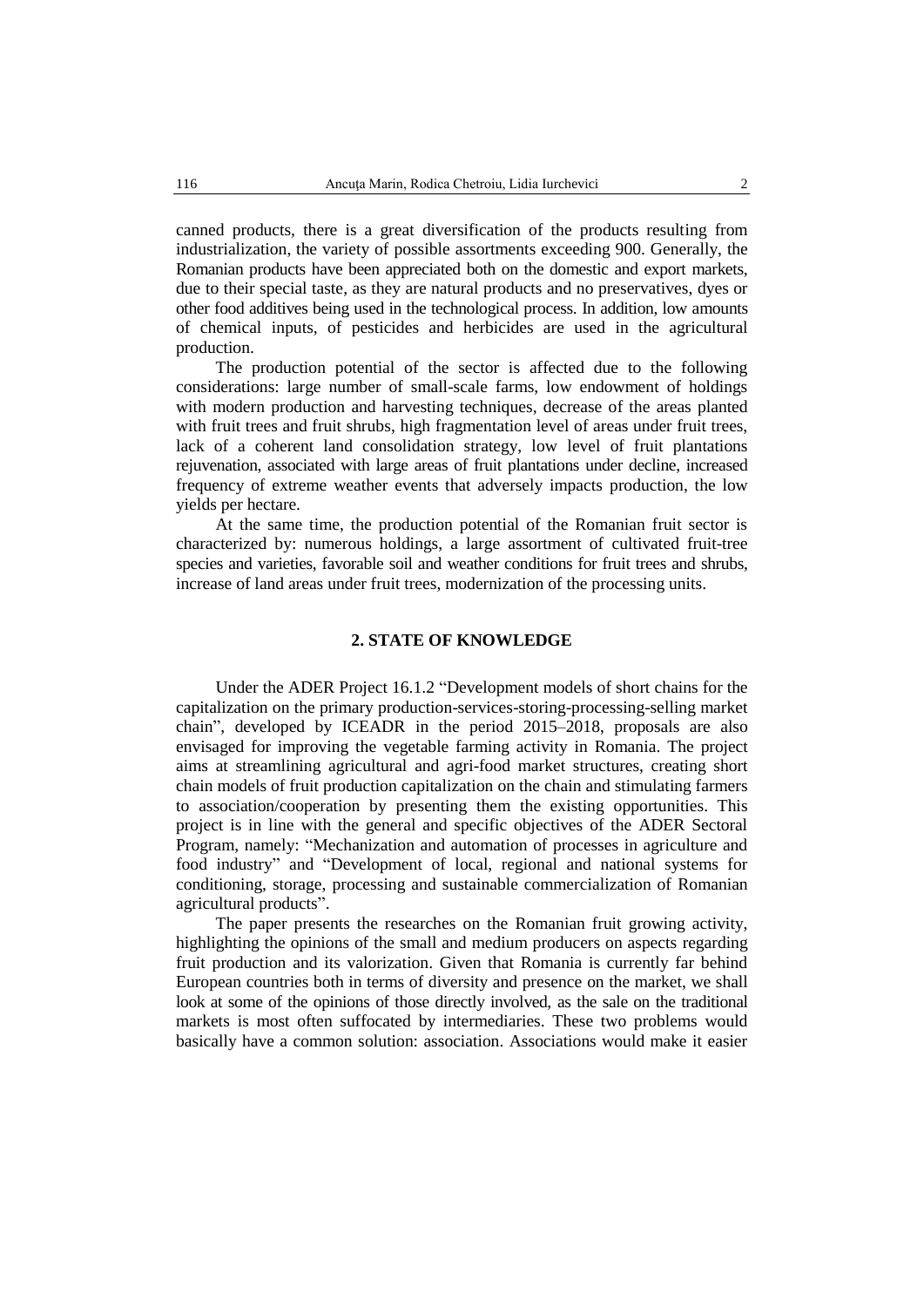canned products, there is a great diversification of the products resulting from industrialization, the variety of possible assortments exceeding 900. Generally, the Romanian products have been appreciated both on the domestic and export markets, due to their special taste, as they are natural products and no preservatives, dyes or other food additives being used in the technological process. In addition, low amounts of chemical inputs, of pesticides and herbicides are used in the agricultural production.

The production potential of the sector is affected due to the following considerations: large number of small-scale farms, low endowment of holdings with modern production and harvesting techniques, decrease of the areas planted with fruit trees and fruit shrubs, high fragmentation level of areas under fruit trees, lack of a coherent land consolidation strategy, low level of fruit plantations rejuvenation, associated with large areas of fruit plantations under decline, increased frequency of extreme weather events that adversely impacts production, the low yields per hectare.

At the same time, the production potential of the Romanian fruit sector is characterized by: numerous holdings, a large assortment of cultivated fruit-tree species and varieties, favorable soil and weather conditions for fruit trees and shrubs, increase of land areas under fruit trees, modernization of the processing units.

#### **2. STATE OF KNOWLEDGE**

Under the ADER Project 16.1.2 "Development models of short chains for the capitalization on the primary production-services-storing-processing-selling market chain", developed by ICEADR in the period 2015–2018, proposals are also envisaged for improving the vegetable farming activity in Romania. The project aims at streamlining agricultural and agri-food market structures, creating short chain models of fruit production capitalization on the chain and stimulating farmers to association/cooperation by presenting them the existing opportunities. This project is in line with the general and specific objectives of the ADER Sectoral Program, namely: "Mechanization and automation of processes in agriculture and food industry" and "Development of local, regional and national systems for conditioning, storage, processing and sustainable commercialization of Romanian agricultural products".

The paper presents the researches on the Romanian fruit growing activity, highlighting the opinions of the small and medium producers on aspects regarding fruit production and its valorization. Given that Romania is currently far behind European countries both in terms of diversity and presence on the market, we shall look at some of the opinions of those directly involved, as the sale on the traditional markets is most often suffocated by intermediaries. These two problems would basically have a common solution: association. Associations would make it easier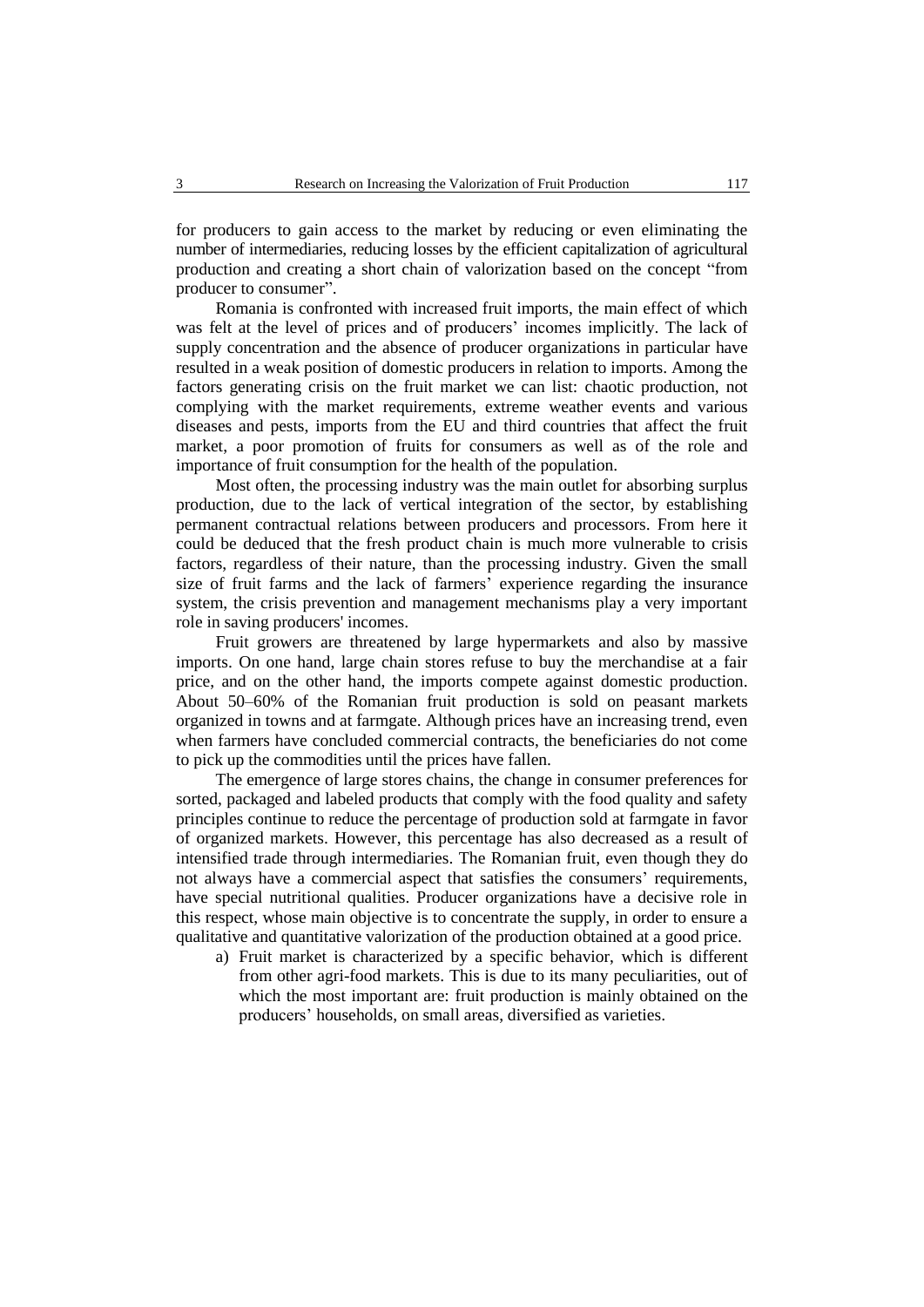for producers to gain access to the market by reducing or even eliminating the number of intermediaries, reducing losses by the efficient capitalization of agricultural production and creating a short chain of valorization based on the concept "from producer to consumer".

Romania is confronted with increased fruit imports, the main effect of which was felt at the level of prices and of producers' incomes implicitly. The lack of supply concentration and the absence of producer organizations in particular have resulted in a weak position of domestic producers in relation to imports. Among the factors generating crisis on the fruit market we can list: chaotic production, not complying with the market requirements, extreme weather events and various diseases and pests, imports from the EU and third countries that affect the fruit market, a poor promotion of fruits for consumers as well as of the role and importance of fruit consumption for the health of the population.

Most often, the processing industry was the main outlet for absorbing surplus production, due to the lack of vertical integration of the sector, by establishing permanent contractual relations between producers and processors. From here it could be deduced that the fresh product chain is much more vulnerable to crisis factors, regardless of their nature, than the processing industry. Given the small size of fruit farms and the lack of farmers' experience regarding the insurance system, the crisis prevention and management mechanisms play a very important role in saving producers' incomes.

Fruit growers are threatened by large hypermarkets and also by massive imports. On one hand, large chain stores refuse to buy the merchandise at a fair price, and on the other hand, the imports compete against domestic production. About 50–60% of the Romanian fruit production is sold on peasant markets organized in towns and at farmgate. Although prices have an increasing trend, even when farmers have concluded commercial contracts, the beneficiaries do not come to pick up the commodities until the prices have fallen.

The emergence of large stores chains, the change in consumer preferences for sorted, packaged and labeled products that comply with the food quality and safety principles continue to reduce the percentage of production sold at farmgate in favor of organized markets. However, this percentage has also decreased as a result of intensified trade through intermediaries. The Romanian fruit, even though they do not always have a commercial aspect that satisfies the consumers' requirements, have special nutritional qualities. Producer organizations have a decisive role in this respect, whose main objective is to concentrate the supply, in order to ensure a qualitative and quantitative valorization of the production obtained at a good price.

a) Fruit market is characterized by a specific behavior, which is different from other agri-food markets. This is due to its many peculiarities, out of which the most important are: fruit production is mainly obtained on the producers' households, on small areas, diversified as varieties.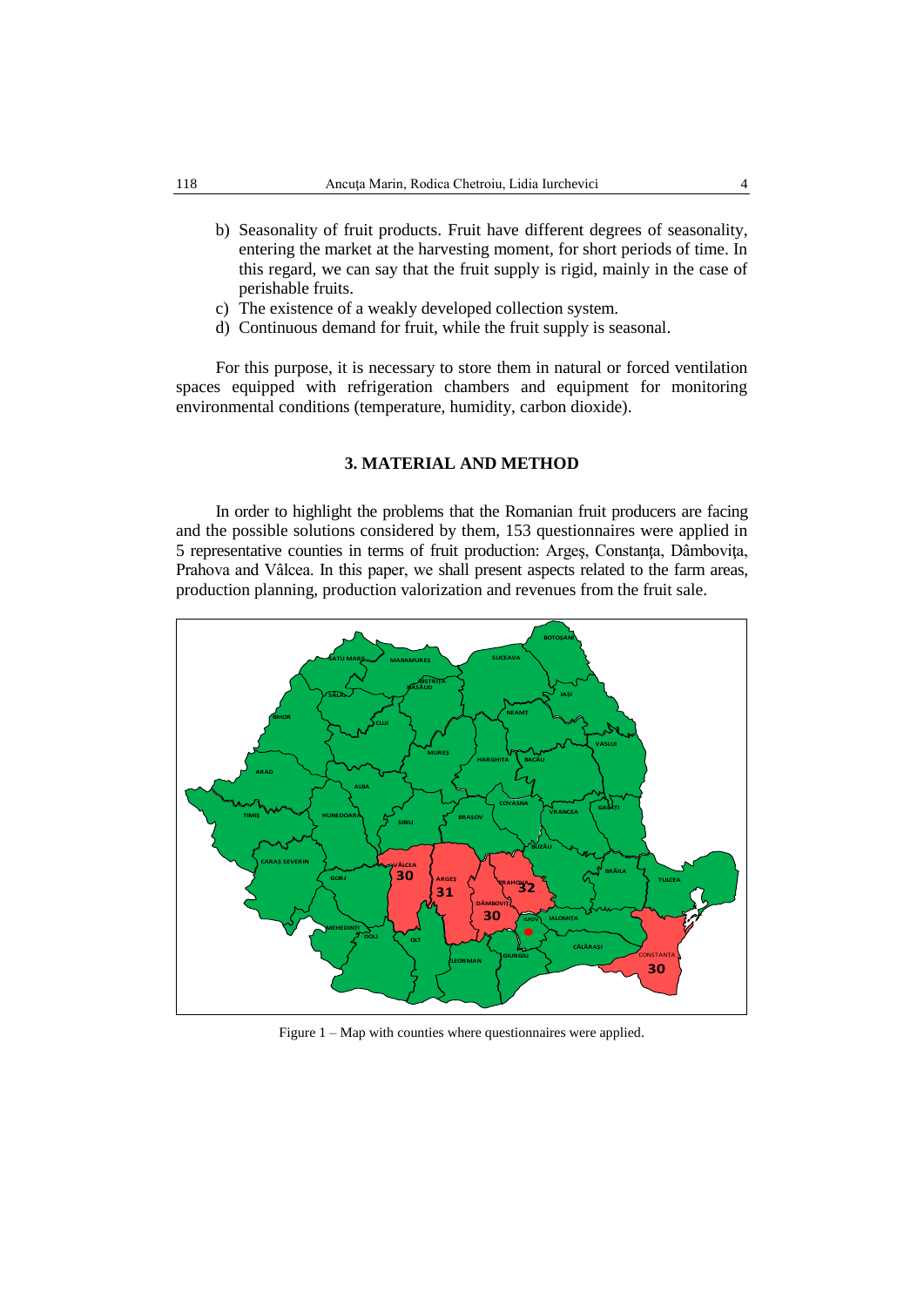- b) Seasonality of fruit products. Fruit have different degrees of seasonality, entering the market at the harvesting moment, for short periods of time. In this regard, we can say that the fruit supply is rigid, mainly in the case of perishable fruits.
- c) The existence of a weakly developed collection system.
- d) Continuous demand for fruit, while the fruit supply is seasonal.

For this purpose, it is necessary to store them in natural or forced ventilation spaces equipped with refrigeration chambers and equipment for monitoring environmental conditions (temperature, humidity, carbon dioxide).

## **3. MATERIAL AND METHOD**

In order to highlight the problems that the Romanian fruit producers are facing and the possible solutions considered by them, 153 questionnaires were applied in 5 representative counties in terms of fruit production: Argeş, Constanţa, Dâmboviţa, Prahova and Vâlcea. In this paper, we shall present aspects related to the farm areas, production planning, production valorization and revenues from the fruit sale.



Figure 1 – Map with counties where questionnaires were applied.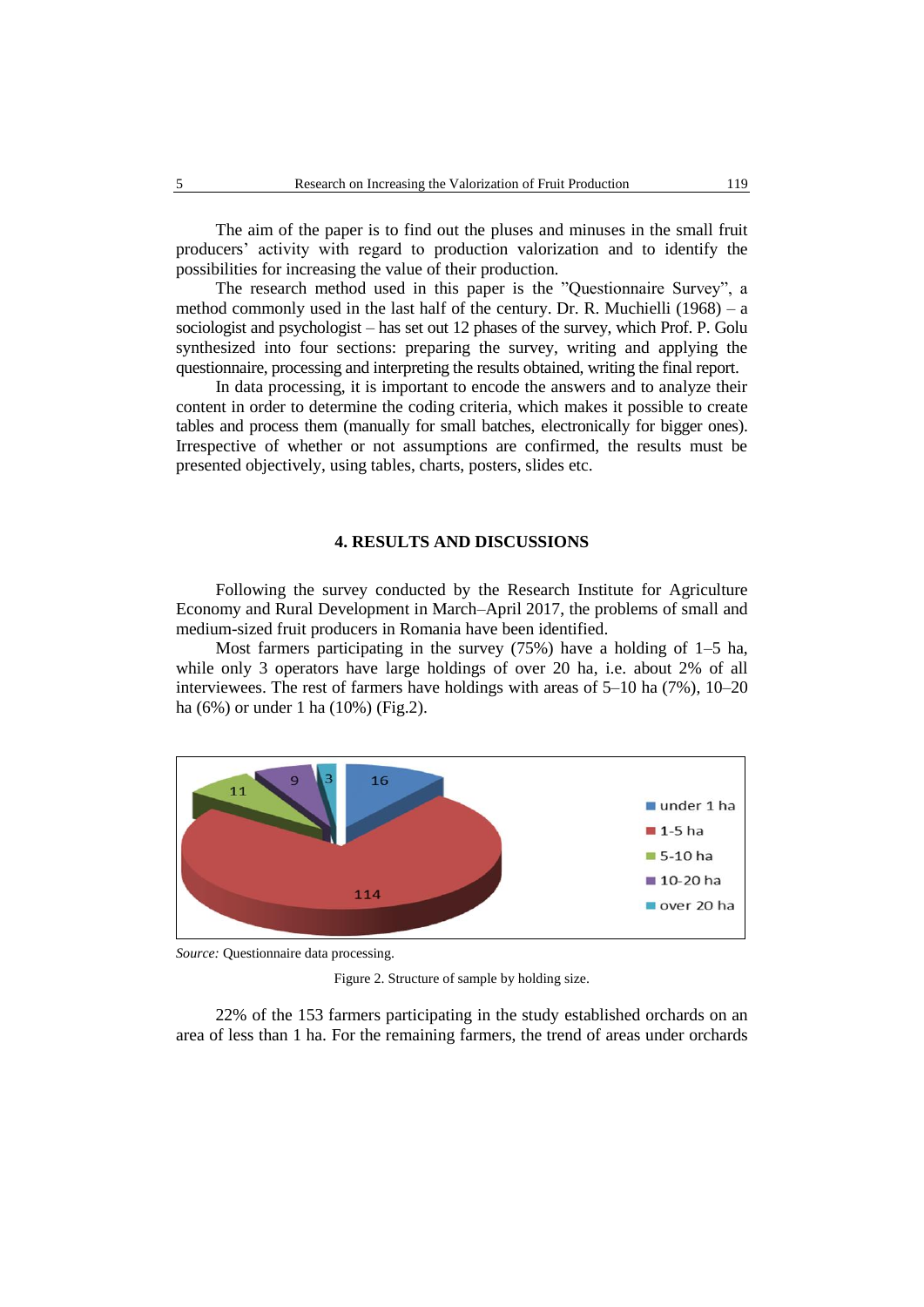The aim of the paper is to find out the pluses and minuses in the small fruit producers' activity with regard to production valorization and to identify the possibilities for increasing the value of their production.

The research method used in this paper is the "Questionnaire Survey", a method commonly used in the last half of the century. Dr. R. Muchielli (1968) – a sociologist and psychologist – has set out 12 phases of the survey, which Prof. P. Golu synthesized into four sections: preparing the survey, writing and applying the questionnaire, processing and interpreting the results obtained, writing the final report.

In data processing, it is important to encode the answers and to analyze their content in order to determine the coding criteria, which makes it possible to create tables and process them (manually for small batches, electronically for bigger ones). Irrespective of whether or not assumptions are confirmed, the results must be presented objectively, using tables, charts, posters, slides etc.

## **4. RESULTS AND DISCUSSIONS**

Following the survey conducted by the Research Institute for Agriculture Economy and Rural Development in March–April 2017, the problems of small and medium-sized fruit producers in Romania have been identified.

Most farmers participating in the survey (75%) have a holding of 1–5 ha, while only 3 operators have large holdings of over 20 ha, i.e. about 2% of all interviewees. The rest of farmers have holdings with areas of 5–10 ha (7%), 10–20 ha (6%) or under 1 ha (10%) (Fig.2).



*Source:* Questionnaire data processing.

Figure 2. Structure of sample by holding size.

22% of the 153 farmers participating in the study established orchards on an area of less than 1 ha. For the remaining farmers, the trend of areas under orchards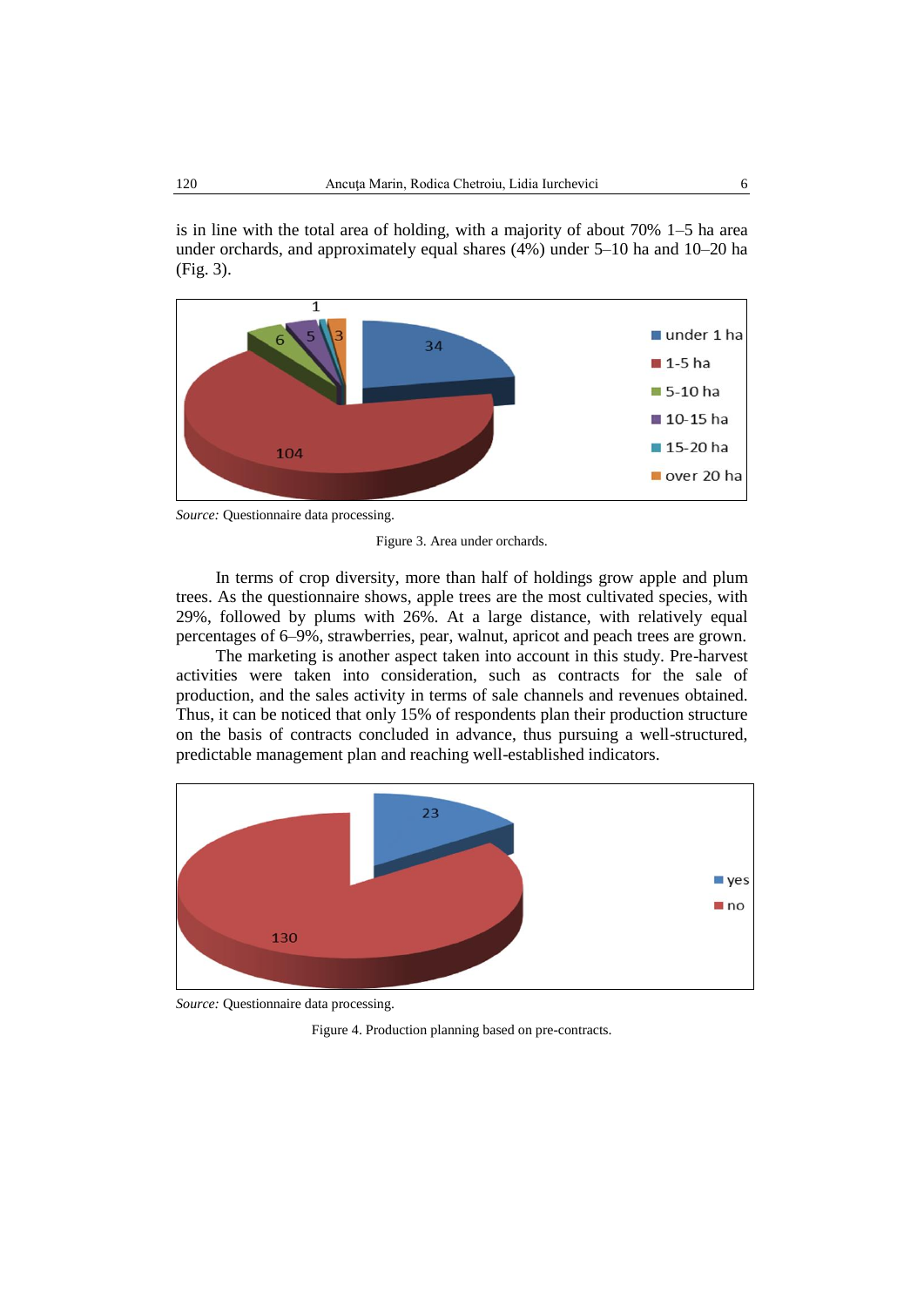is in line with the total area of holding, with a majority of about 70% 1–5 ha area under orchards, and approximately equal shares (4%) under 5–10 ha and 10–20 ha (Fig. 3).



*Source:* Questionnaire data processing.

Figure 3. Area under orchards.

In terms of crop diversity, more than half of holdings grow apple and plum trees. As the questionnaire shows, apple trees are the most cultivated species, with 29%, followed by plums with 26%. At a large distance, with relatively equal percentages of 6–9%, strawberries, pear, walnut, apricot and peach trees are grown.

The marketing is another aspect taken into account in this study. Pre-harvest activities were taken into consideration, such as contracts for the sale of production, and the sales activity in terms of sale channels and revenues obtained. Thus, it can be noticed that only 15% of respondents plan their production structure on the basis of contracts concluded in advance, thus pursuing a well-structured, predictable management plan and reaching well-established indicators.



*Source:* Questionnaire data processing.

Figure 4. Production planning based on pre-contracts.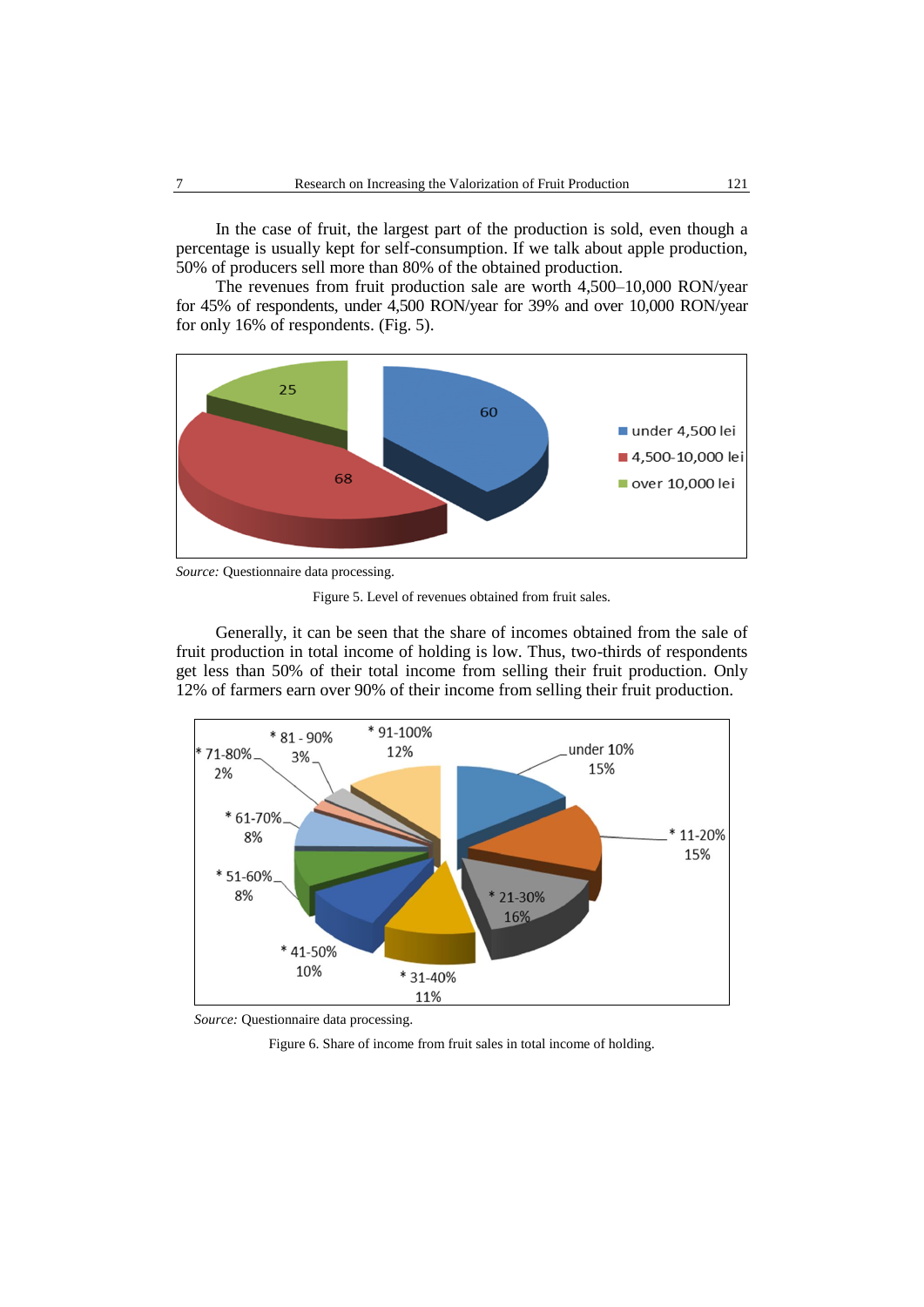In the case of fruit, the largest part of the production is sold, even though a percentage is usually kept for self-consumption. If we talk about apple production, 50% of producers sell more than 80% of the obtained production.

The revenues from fruit production sale are worth 4,500–10,000 RON/year for 45% of respondents, under 4,500 RON/year for 39% and over 10,000 RON/year for only 16% of respondents. (Fig. 5).



*Source:* Questionnaire data processing.

Figure 5. Level of revenues obtained from fruit sales.

Generally, it can be seen that the share of incomes obtained from the sale of fruit production in total income of holding is low. Thus, two-thirds of respondents get less than 50% of their total income from selling their fruit production. Only 12% of farmers earn over 90% of their income from selling their fruit production.



*Source:* Questionnaire data processing.

Figure 6. Share of income from fruit sales in total income of holding.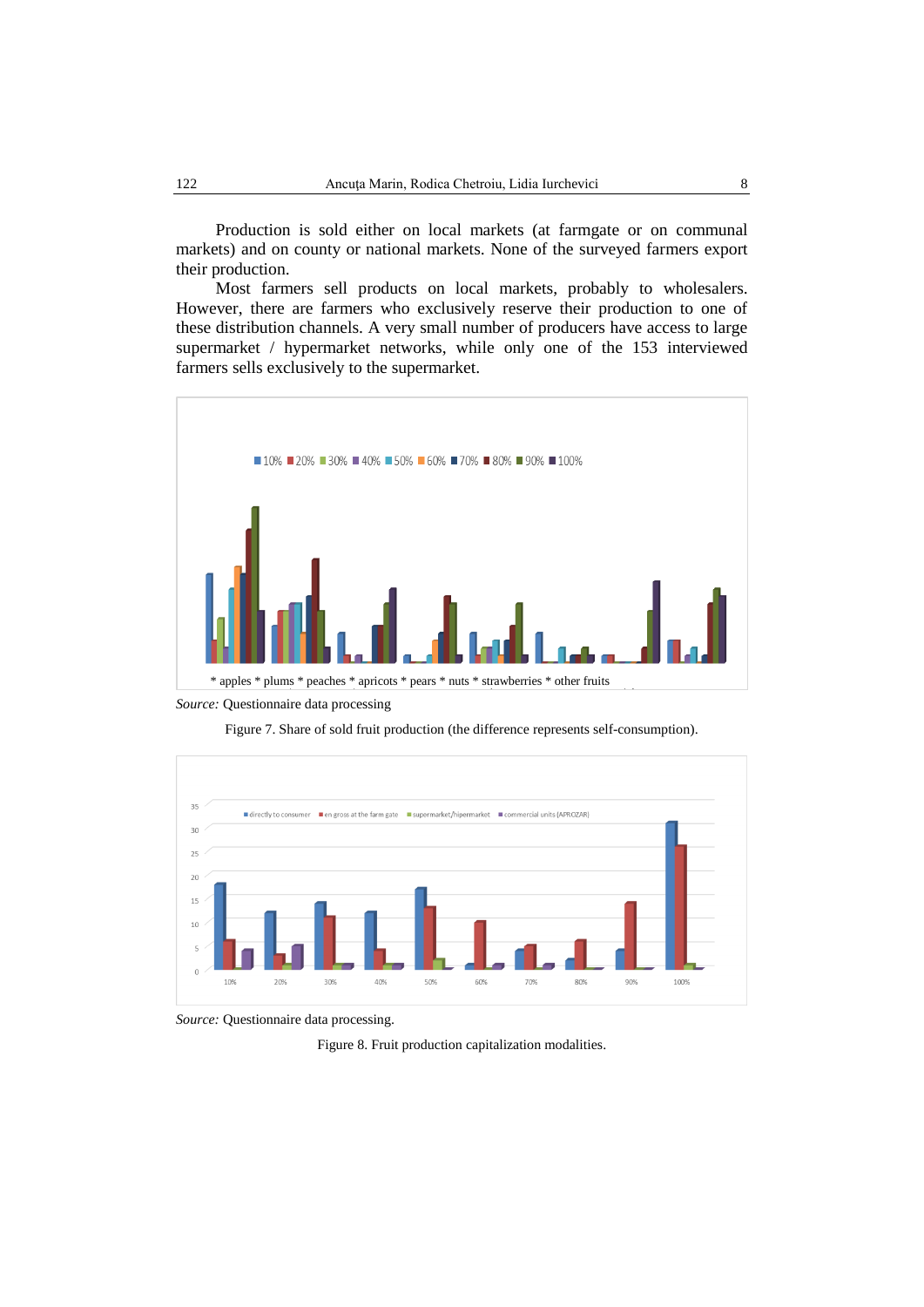Production is sold either on local markets (at farmgate or on communal markets) and on county or national markets. None of the surveyed farmers export their production.

Most farmers sell products on local markets, probably to wholesalers. However, there are farmers who exclusively reserve their production to one of these distribution channels. A very small number of producers have access to large supermarket / hypermarket networks, while only one of the 153 interviewed farmers sells exclusively to the supermarket.



\* apples \* plums \* peaches \* apricots \* pears \* nuts \* strawberries \* other fruits



Figure 7. Share of sold fruit production (the difference represents self-consumption).



*Source:* Questionnaire data processing.

Figure 8. Fruit production capitalization modalities.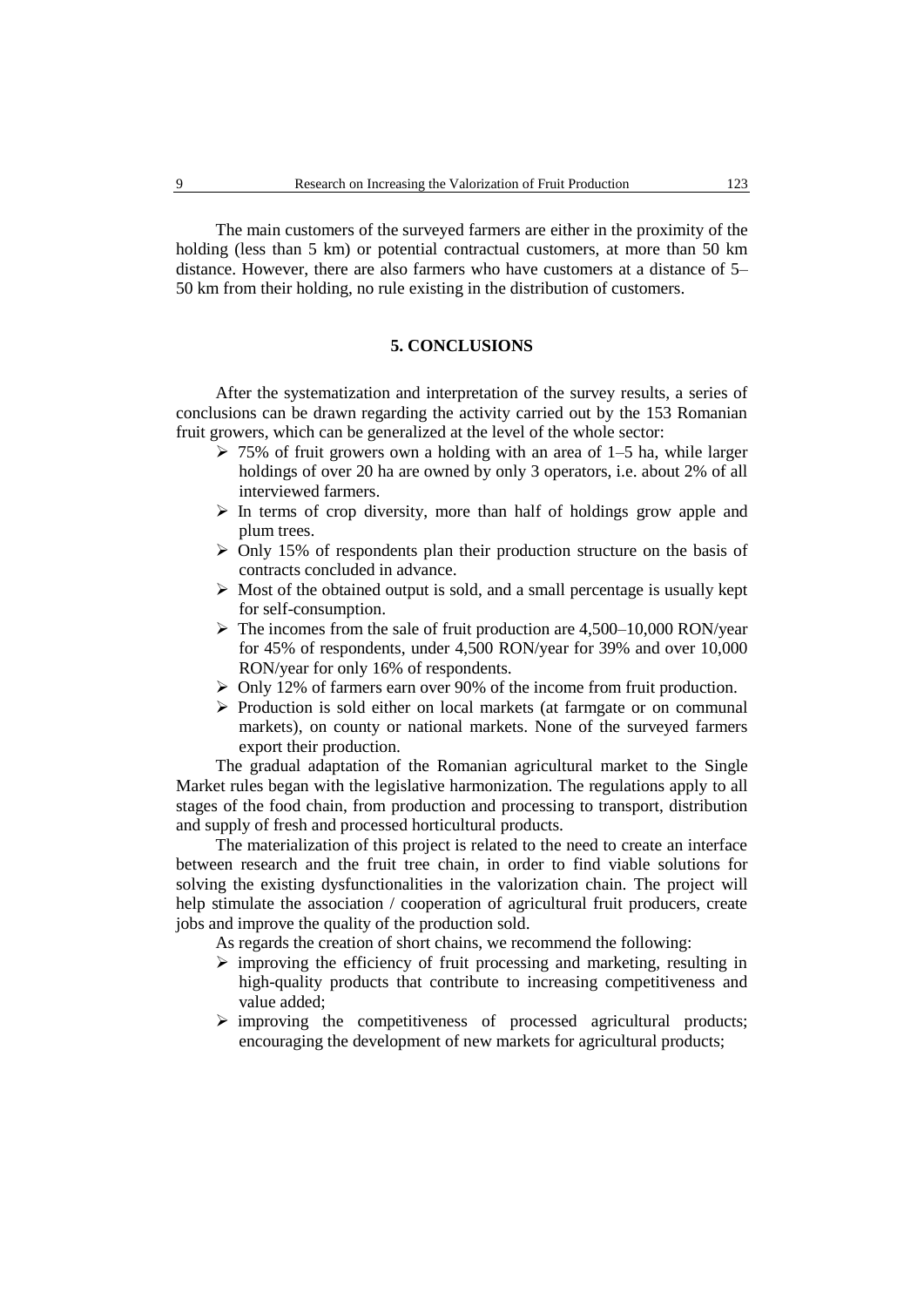The main customers of the surveyed farmers are either in the proximity of the holding (less than 5 km) or potential contractual customers, at more than 50 km distance. However, there are also farmers who have customers at a distance of 5– 50 km from their holding, no rule existing in the distribution of customers.

## **5. CONCLUSIONS**

After the systematization and interpretation of the survey results, a series of conclusions can be drawn regarding the activity carried out by the 153 Romanian fruit growers, which can be generalized at the level of the whole sector:

- $\geq 75\%$  of fruit growers own a holding with an area of 1–5 ha, while larger holdings of over 20 ha are owned by only 3 operators, i.e. about 2% of all interviewed farmers.
- $\triangleright$  In terms of crop diversity, more than half of holdings grow apple and plum trees.
- $\triangleright$  Only 15% of respondents plan their production structure on the basis of contracts concluded in advance.
- $\triangleright$  Most of the obtained output is sold, and a small percentage is usually kept for self-consumption.
- $\triangleright$  The incomes from the sale of fruit production are 4,500–10,000 RON/year for 45% of respondents, under 4,500 RON/year for 39% and over 10,000 RON/year for only 16% of respondents.
- $\triangleright$  Only 12% of farmers earn over 90% of the income from fruit production.
- $\triangleright$  Production is sold either on local markets (at farmgate or on communal markets), on county or national markets. None of the surveyed farmers export their production.

The gradual adaptation of the Romanian agricultural market to the Single Market rules began with the legislative harmonization. The regulations apply to all stages of the food chain, from production and processing to transport, distribution and supply of fresh and processed horticultural products.

The materialization of this project is related to the need to create an interface between research and the fruit tree chain, in order to find viable solutions for solving the existing dysfunctionalities in the valorization chain. The project will help stimulate the association / cooperation of agricultural fruit producers, create jobs and improve the quality of the production sold.

As regards the creation of short chains, we recommend the following:

- $\triangleright$  improving the efficiency of fruit processing and marketing, resulting in high-quality products that contribute to increasing competitiveness and value added;
- $\triangleright$  improving the competitiveness of processed agricultural products; encouraging the development of new markets for agricultural products;